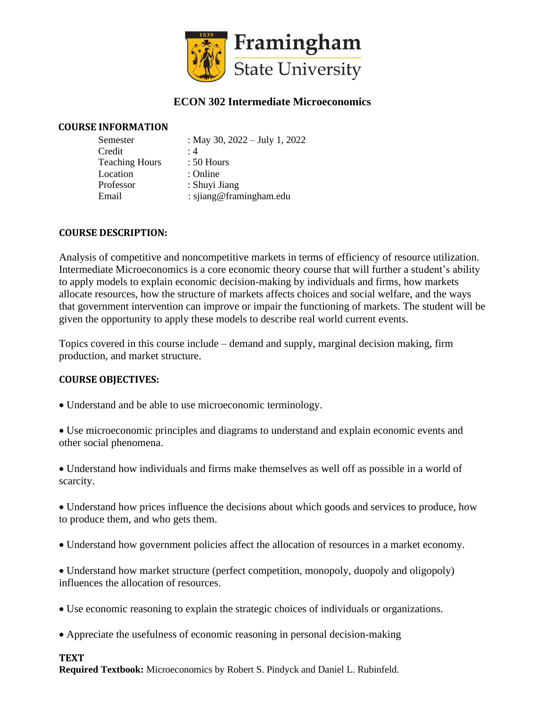

# **ECON 302 Intermediate Microeconomics**

### **COURSE INFORMATION**

| Semester              | : May 30, $2022 - July 1, 2022$ |
|-----------------------|---------------------------------|
| Credit                | :4                              |
| <b>Teaching Hours</b> | $: 50$ Hours                    |
| Location              | : Online                        |
| Professor             | : Shuyi Jiang                   |
| Email                 | : sjiang@framingham.edu         |

### **COURSE DESCRIPTION:**

Analysis of competitive and noncompetitive markets in terms of efficiency of resource utilization. Intermediate Microeconomics is a core economic theory course that will further a student's ability to apply models to explain economic decision-making by individuals and firms, how markets allocate resources, how the structure of markets affects choices and social welfare, and the ways that government intervention can improve or impair the functioning of markets. The student will be given the opportunity to apply these models to describe real world current events.

Topics covered in this course include – demand and supply, marginal decision making, firm production, and market structure.

### **COURSE OBJECTIVES:**

• Understand and be able to use microeconomic terminology.

• Use microeconomic principles and diagrams to understand and explain economic events and other social phenomena.

• Understand how individuals and firms make themselves as well off as possible in a world of scarcity.

• Understand how prices influence the decisions about which goods and services to produce, how to produce them, and who gets them.

• Understand how government policies affect the allocation of resources in a market economy.

• Understand how market structure (perfect competition, monopoly, duopoly and oligopoly) influences the allocation of resources.

- Use economic reasoning to explain the strategic choices of individuals or organizations.
- Appreciate the usefulness of economic reasoning in personal decision-making

## **TEXT**

**Required Textbook:** Microeconomics by Robert S. Pindyck and Daniel L. Rubinfeld.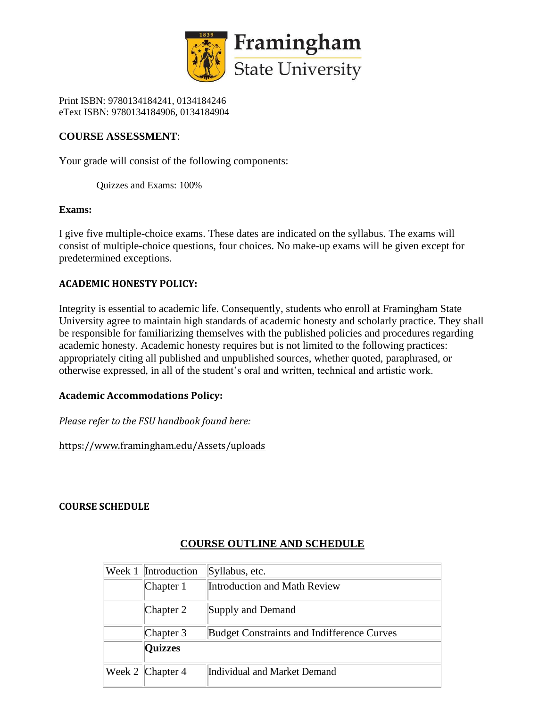

Print ISBN: 9780134184241, 0134184246 eText ISBN: 9780134184906, 0134184904

## **COURSE ASSESSMENT**:

Your grade will consist of the following components:

Quizzes and Exams: 100%

#### **Exams:**

I give five multiple-choice exams. These dates are indicated on the syllabus. The exams will consist of multiple-choice questions, four choices. No make-up exams will be given except for predetermined exceptions.

### **ACADEMIC HONESTY POLICY:**

Integrity is essential to academic life. Consequently, students who enroll at Framingham State University agree to maintain high standards of academic honesty and scholarly practice. They shall be responsible for familiarizing themselves with the published policies and procedures regarding academic honesty. Academic honesty requires but is not limited to the following practices: appropriately citing all published and unpublished sources, whether quoted, paraphrased, or otherwise expressed, in all of the student's oral and written, technical and artistic work.

## **Academic Accommodations Policy:**

*Please refer to the FSU handbook found here:* 

https://www.framingham.edu/Assets/uploads

## **COURSE SCHEDULE**

| Week 1 | Introduction     | Syllabus, etc.                                    |
|--------|------------------|---------------------------------------------------|
|        | Chapter 1        | <b>Introduction and Math Review</b>               |
|        | Chapter 2        | Supply and Demand                                 |
|        | Chapter 3        | <b>Budget Constraints and Indifference Curves</b> |
|        | <b>Quizzes</b>   |                                                   |
|        | Week 2 Chapter 4 | Individual and Market Demand                      |

# **COURSE OUTLINE AND SCHEDULE**